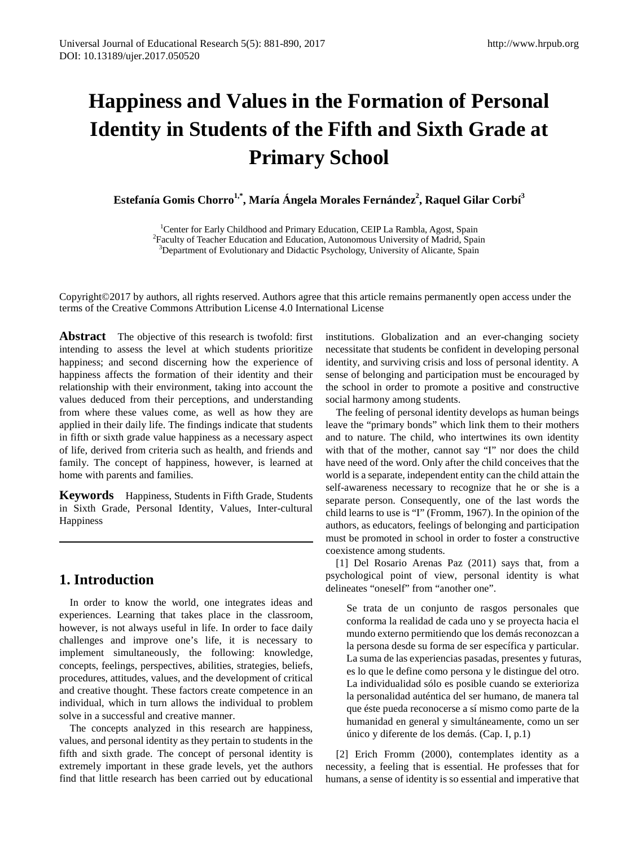# **Happiness and Values in the Formation of Personal Identity in Students of the Fifth and Sixth Grade at Primary School**

 $\mathbf{E}$ stefanía Gomis Chorro $^{1,*}$ , María Ángela Morales Fernández<sup>2</sup>, Raquel Gilar Corbí $^3$ 

<sup>1</sup>Center for Early Childhood and Primary Education, CEIP La Rambla, Agost, Spain<br><sup>2</sup>Eaculty of Tagobar Education and Education, Autonomous University of Madrid, Spa <sup>2</sup> Faculty of Teacher Education and Education, Autonomous University of Madrid, Spain <sup>3</sup>Department of Evolutionary and Didactic Psychology, University of Alicante, Spain

Copyright©2017 by authors, all rights reserved. Authors agree that this article remains permanently open access under the terms of the Creative Commons Attribution License 4.0 International License

**Abstract** The objective of this research is twofold: first intending to assess the level at which students prioritize happiness; and second discerning how the experience of happiness affects the formation of their identity and their relationship with their environment, taking into account the values deduced from their perceptions, and understanding from where these values come, as well as how they are applied in their daily life. The findings indicate that students in fifth or sixth grade value happiness as a necessary aspect of life, derived from criteria such as health, and friends and family. The concept of happiness, however, is learned at home with parents and families.

**Keywords** Happiness, Students in Fifth Grade, Students in Sixth Grade, Personal Identity, Values, Inter-cultural Happiness

# **1. Introduction**

In order to know the world, one integrates ideas and experiences. Learning that takes place in the classroom, however, is not always useful in life. In order to face daily challenges and improve one's life, it is necessary to implement simultaneously, the following: knowledge, concepts, feelings, perspectives, abilities, strategies, beliefs, procedures, attitudes, values, and the development of critical and creative thought. These factors create competence in an individual, which in turn allows the individual to problem solve in a successful and creative manner.

The concepts analyzed in this research are happiness, values, and personal identity as they pertain to students in the fifth and sixth grade. The concept of personal identity is extremely important in these grade levels, yet the authors find that little research has been carried out by educational

institutions. Globalization and an ever-changing society necessitate that students be confident in developing personal identity, and surviving crisis and loss of personal identity. A sense of belonging and participation must be encouraged by the school in order to promote a positive and constructive social harmony among students.

The feeling of personal identity develops as human beings leave the "primary bonds" which link them to their mothers and to nature. The child, who intertwines its own identity with that of the mother, cannot say "I" nor does the child have need of the word. Only after the child conceives that the world is a separate, independent entity can the child attain the self-awareness necessary to recognize that he or she is a separate person. Consequently, one of the last words the child learns to use is "I" (Fromm, 1967). In the opinion of the authors, as educators, feelings of belonging and participation must be promoted in school in order to foster a constructive coexistence among students.

[1] Del Rosario Arenas Paz (2011) says that, from a psychological point of view, personal identity is what delineates "oneself" from "another one".

Se trata de un conjunto de rasgos personales que conforma la realidad de cada uno y se proyecta hacia el mundo externo permitiendo que los demás reconozcan a la persona desde su forma de ser específica y particular. La suma de las experiencias pasadas, presentes y futuras, es lo que le define como persona y le distingue del otro. La individualidad sólo es posible cuando se exterioriza la personalidad auténtica del ser humano, de manera tal que éste pueda reconocerse a sí mismo como parte de la humanidad en general y simultáneamente, como un ser único y diferente de los demás. (Cap. I, p.1)

[2] Erich Fromm (2000), contemplates identity as a necessity, a feeling that is essential. He professes that for humans, a sense of identity is so essential and imperative that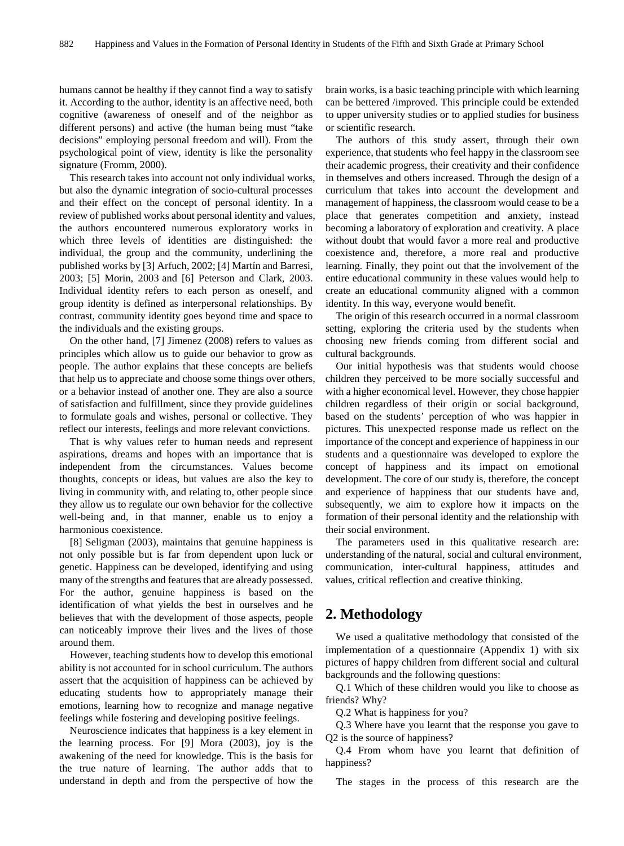humans cannot be healthy if they cannot find a way to satisfy it. According to the author, identity is an affective need, both cognitive (awareness of oneself and of the neighbor as different persons) and active (the human being must "take decisions" employing personal freedom and will). From the psychological point of view, identity is like the personality signature (Fromm, 2000).

This research takes into account not only individual works, but also the dynamic integration of socio-cultural processes and their effect on the concept of personal identity. In a review of published works about personal identity and values, the authors encountered numerous exploratory works in which three levels of identities are distinguished: the individual, the group and the community, underlining the published works by [3] Arfuch, 2002; [4] Martín and Barresi, 2003; [5] Morin, 2003 and [6] Peterson and Clark, 2003. Individual identity refers to each person as oneself, and group identity is defined as interpersonal relationships. By contrast, community identity goes beyond time and space to the individuals and the existing groups.

On the other hand, [7] Jimenez (2008) refers to values as principles which allow us to guide our behavior to grow as people. The author explains that these concepts are beliefs that help us to appreciate and choose some things over others, or a behavior instead of another one. They are also a source of satisfaction and fulfillment, since they provide guidelines to formulate goals and wishes, personal or collective. They reflect our interests, feelings and more relevant convictions.

That is why values refer to human needs and represent aspirations, dreams and hopes with an importance that is independent from the circumstances. Values become thoughts, concepts or ideas, but values are also the key to living in community with, and relating to, other people since they allow us to regulate our own behavior for the collective well-being and, in that manner, enable us to enjoy a harmonious coexistence.

[8] Seligman (2003), maintains that genuine happiness is not only possible but is far from dependent upon luck or genetic. Happiness can be developed, identifying and using many of the strengths and features that are already possessed. For the author, genuine happiness is based on the identification of what yields the best in ourselves and he believes that with the development of those aspects, people can noticeably improve their lives and the lives of those around them.

However, teaching students how to develop this emotional ability is not accounted for in school curriculum. The authors assert that the acquisition of happiness can be achieved by educating students how to appropriately manage their emotions, learning how to recognize and manage negative feelings while fostering and developing positive feelings.

Neuroscience indicates that happiness is a key element in the learning process. For [9] Mora (2003), joy is the awakening of the need for knowledge. This is the basis for the true nature of learning. The author adds that to understand in depth and from the perspective of how the

brain works, is a basic teaching principle with which learning can be bettered /improved. This principle could be extended to upper university studies or to applied studies for business or scientific research.

The authors of this study assert, through their own experience, that students who feel happy in the classroom see their academic progress, their creativity and their confidence in themselves and others increased. Through the design of a curriculum that takes into account the development and management of happiness, the classroom would cease to be a place that generates competition and anxiety, instead becoming a laboratory of exploration and creativity. A place without doubt that would favor a more real and productive coexistence and, therefore, a more real and productive learning. Finally, they point out that the involvement of the entire educational community in these values would help to create an educational community aligned with a common identity. In this way, everyone would benefit.

The origin of this research occurred in a normal classroom setting, exploring the criteria used by the students when choosing new friends coming from different social and cultural backgrounds.

Our initial hypothesis was that students would choose children they perceived to be more socially successful and with a higher economical level. However, they chose happier children regardless of their origin or social background, based on the students' perception of who was happier in pictures. This unexpected response made us reflect on the importance of the concept and experience of happiness in our students and a questionnaire was developed to explore the concept of happiness and its impact on emotional development. The core of our study is, therefore, the concept and experience of happiness that our students have and, subsequently, we aim to explore how it impacts on the formation of their personal identity and the relationship with their social environment.

The parameters used in this qualitative research are: understanding of the natural, social and cultural environment, communication, inter-cultural happiness, attitudes and values, critical reflection and creative thinking.

# **2. Methodology**

We used a qualitative methodology that consisted of the implementation of a questionnaire (Appendix 1) with six pictures of happy children from different social and cultural backgrounds and the following questions:

Q.1 Which of these children would you like to choose as friends? Why?

Q.2 What is happiness for you?

Q.3 Where have you learnt that the response you gave to Q2 is the source of happiness?

Q.4 From whom have you learnt that definition of happiness?

The stages in the process of this research are the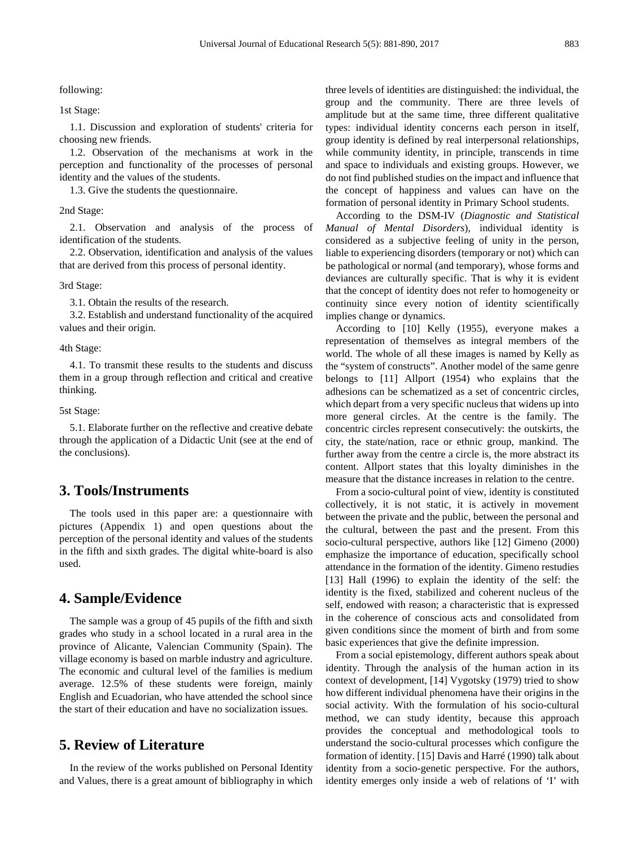following:

1st Stage:

1.1. Discussion and exploration of students' criteria for choosing new friends.

1.2. Observation of the mechanisms at work in the perception and functionality of the processes of personal identity and the values of the students.

1.3. Give the students the questionnaire.

2nd Stage:

2.1. Observation and analysis of the process of identification of the students.

2.2. Observation, identification and analysis of the values that are derived from this process of personal identity.

3rd Stage:

3.1. Obtain the results of the research.

3.2. Establish and understand functionality of the acquired values and their origin.

4th Stage:

4.1. To transmit these results to the students and discuss them in a group through reflection and critical and creative thinking.

5st Stage:

5.1. Elaborate further on the reflective and creative debate through the application of a Didactic Unit (see at the end of the conclusions).

## **3. Tools/Instruments**

The tools used in this paper are: a questionnaire with pictures (Appendix 1) and open questions about the perception of the personal identity and values of the students in the fifth and sixth grades. The digital white-board is also used.

## **4. Sample/Evidence**

The sample was a group of 45 pupils of the fifth and sixth grades who study in a school located in a rural area in the province of Alicante, Valencian Community (Spain). The village economy is based on marble industry and agriculture. The economic and cultural level of the families is medium average. 12.5% of these students were foreign, mainly English and Ecuadorian, who have attended the school since the start of their education and have no socialization issues.

## **5. Review of Literature**

In the review of the works published on Personal Identity and Values, there is a great amount of bibliography in which

three levels of identities are distinguished: the individual, the group and the community. There are three levels of amplitude but at the same time, three different qualitative types: individual identity concerns each person in itself, group identity is defined by real interpersonal relationships, while community identity, in principle, transcends in time and space to individuals and existing groups. However, we do not find published studies on the impact and influence that the concept of happiness and values can have on the formation of personal identity in Primary School students.

According to the DSM-IV (*Diagnostic and Statistical Manual of Mental Disorders*), individual identity is considered as a subjective feeling of unity in the person, liable to experiencing disorders (temporary or not) which can be pathological or normal (and temporary), whose forms and deviances are culturally specific. That is why it is evident that the concept of identity does not refer to homogeneity or continuity since every notion of identity scientifically implies change or dynamics.

According to [10] Kelly (1955), everyone makes a representation of themselves as integral members of the world. The whole of all these images is named by Kelly as the "system of constructs". Another model of the same genre belongs to [11] Allport (1954) who explains that the adhesions can be schematized as a set of concentric circles, which depart from a very specific nucleus that widens up into more general circles. At the centre is the family. The concentric circles represent consecutively: the outskirts, the city, the state/nation, race or ethnic group, mankind. The further away from the centre a circle is, the more abstract its content. Allport states that this loyalty diminishes in the measure that the distance increases in relation to the centre.

From a socio-cultural point of view, identity is constituted collectively, it is not static, it is actively in movement between the private and the public, between the personal and the cultural, between the past and the present. From this socio-cultural perspective, authors like [12] Gimeno (2000) emphasize the importance of education, specifically school attendance in the formation of the identity. Gimeno restudies [13] Hall (1996) to explain the identity of the self: the identity is the fixed, stabilized and coherent nucleus of the self, endowed with reason; a characteristic that is expressed in the coherence of conscious acts and consolidated from given conditions since the moment of birth and from some basic experiences that give the definite impression.

From a social epistemology, different authors speak about identity. Through the analysis of the human action in its context of development, [14] Vygotsky (1979) tried to show how different individual phenomena have their origins in the social activity. With the formulation of his socio-cultural method, we can study identity, because this approach provides the conceptual and methodological tools to understand the socio-cultural processes which configure the formation of identity. [15] Davis and Harré (1990) talk about identity from a socio-genetic perspective. For the authors, identity emerges only inside a web of relations of 'I' with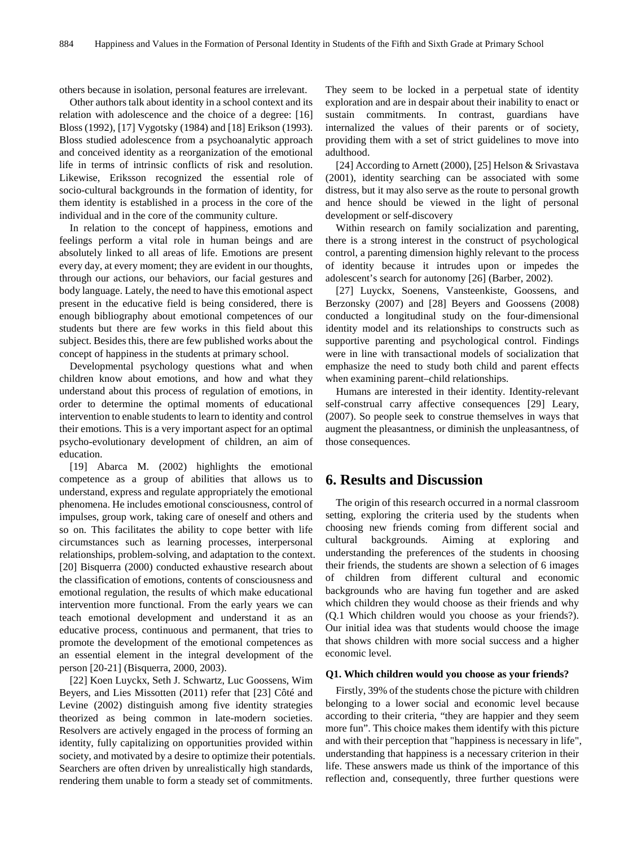others because in isolation, personal features are irrelevant.

Other authors talk about identity in a school context and its relation with adolescence and the choice of a degree: [16] Bloss (1992), [17] Vygotsky (1984) and [18] Erikson (1993). Bloss studied adolescence from a psychoanalytic approach and conceived identity as a reorganization of the emotional life in terms of intrinsic conflicts of risk and resolution. Likewise, Eriksson recognized the essential role of socio-cultural backgrounds in the formation of identity, for them identity is established in a process in the core of the individual and in the core of the community culture.

In relation to the concept of happiness, emotions and feelings perform a vital role in human beings and are absolutely linked to all areas of life. Emotions are present every day, at every moment; they are evident in our thoughts, through our actions, our behaviors, our facial gestures and body language. Lately, the need to have this emotional aspect present in the educative field is being considered, there is enough bibliography about emotional competences of our students but there are few works in this field about this subject. Besides this, there are few published works about the concept of happiness in the students at primary school.

Developmental psychology questions what and when children know about emotions, and how and what they understand about this process of regulation of emotions, in order to determine the optimal moments of educational intervention to enable students to learn to identity and control their emotions. This is a very important aspect for an optimal psycho-evolutionary development of children, an aim of education.

[19] Abarca M. (2002) highlights the emotional competence as a group of abilities that allows us to understand, express and regulate appropriately the emotional phenomena. He includes emotional consciousness, control of impulses, group work, taking care of oneself and others and so on. This facilitates the ability to cope better with life circumstances such as learning processes, interpersonal relationships, problem-solving, and adaptation to the context. [20] Bisquerra (2000) conducted exhaustive research about the classification of emotions, contents of consciousness and emotional regulation, the results of which make educational intervention more functional. From the early years we can teach emotional development and understand it as an educative process, continuous and permanent, that tries to promote the development of the emotional competences as an essential element in the integral development of the person [20-21] (Bisquerra, 2000, 2003).

[22] Koen Luyckx, Seth J. Schwartz, Luc Goossens, Wim Beyers, and Lies Missotten (2011) refer that [23] Côté and Levine (2002) distinguish among five identity strategies theorized as being common in late-modern societies. Resolvers are actively engaged in the process of forming an identity, fully capitalizing on opportunities provided within society, and motivated by a desire to optimize their potentials. Searchers are often driven by unrealistically high standards, rendering them unable to form a steady set of commitments.

They seem to be locked in a perpetual state of identity exploration and are in despair about their inability to enact or sustain commitments. In contrast, guardians have internalized the values of their parents or of society, providing them with a set of strict guidelines to move into adulthood.

[24] According to Arnett (2000), [25] Helson & Srivastava (2001), identity searching can be associated with some distress, but it may also serve as the route to personal growth and hence should be viewed in the light of personal development or self-discovery

Within research on family socialization and parenting, there is a strong interest in the construct of psychological control, a parenting dimension highly relevant to the process of identity because it intrudes upon or impedes the adolescent's search for autonomy [26] (Barber, 2002).

[27] Luyckx, Soenens, Vansteenkiste, Goossens, and Berzonsky (2007) and [28] Beyers and Goossens (2008) conducted a longitudinal study on the four-dimensional identity model and its relationships to constructs such as supportive parenting and psychological control. Findings were in line with transactional models of socialization that emphasize the need to study both child and parent effects when examining parent–child relationships.

Humans are interested in their identity. Identity-relevant self-construal carry affective consequences [29] Leary, (2007). So people seek to construe themselves in ways that augment the pleasantness, or diminish the unpleasantness, of those consequences.

## **6. Results and Discussion**

The origin of this research occurred in a normal classroom setting, exploring the criteria used by the students when choosing new friends coming from different social and cultural backgrounds. Aiming at exploring and understanding the preferences of the students in choosing their friends, the students are shown a selection of 6 images of children from different cultural and economic backgrounds who are having fun together and are asked which children they would choose as their friends and why (Q.1 Which children would you choose as your friends?). Our initial idea was that students would choose the image that shows children with more social success and a higher economic level.

#### **Q1. Which children would you choose as your friends?**

Firstly, 39% of the students chose the picture with children belonging to a lower social and economic level because according to their criteria, "they are happier and they seem more fun". This choice makes them identify with this picture and with their perception that "happiness is necessary in life", understanding that happiness is a necessary criterion in their life. These answers made us think of the importance of this reflection and, consequently, three further questions were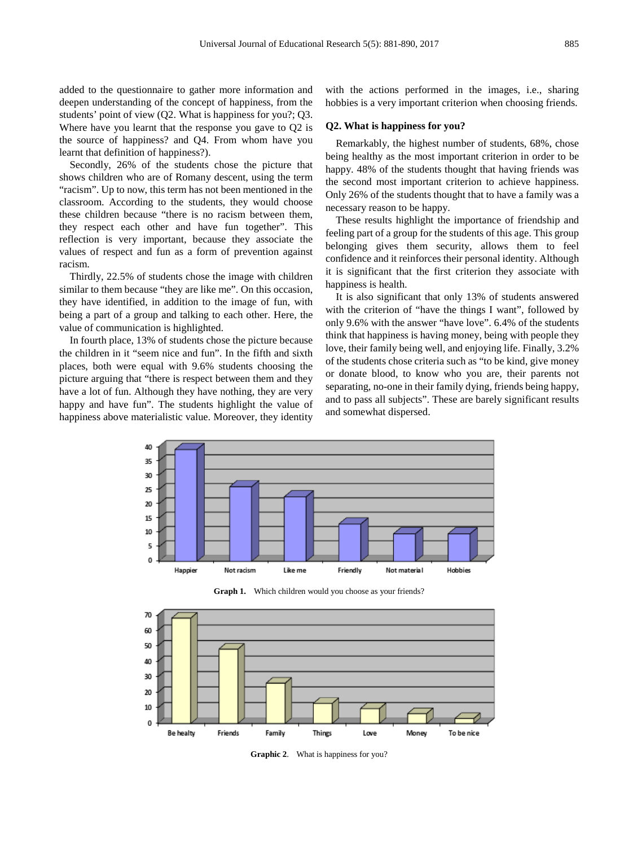added to the questionnaire to gather more information and deepen understanding of the concept of happiness, from the students' point of view (Q2. What is happiness for you?; Q3. Where have you learnt that the response you gave to Q2 is the source of happiness? and Q4. From whom have you learnt that definition of happiness?).

Secondly, 26% of the students chose the picture that shows children who are of Romany descent, using the term "racism". Up to now, this term has not been mentioned in the classroom. According to the students, they would choose these children because "there is no racism between them, they respect each other and have fun together". This reflection is very important, because they associate the values of respect and fun as a form of prevention against racism.

Thirdly, 22.5% of students chose the image with children similar to them because "they are like me". On this occasion, they have identified, in addition to the image of fun, with being a part of a group and talking to each other. Here, the value of communication is highlighted.

In fourth place, 13% of students chose the picture because the children in it "seem nice and fun". In the fifth and sixth places, both were equal with 9.6% students choosing the picture arguing that "there is respect between them and they have a lot of fun. Although they have nothing, they are very happy and have fun". The students highlight the value of happiness above materialistic value. Moreover, they identity

with the actions performed in the images, i.e., sharing hobbies is a very important criterion when choosing friends.

#### **Q2. What is happiness for you?**

Remarkably, the highest number of students, 68%, chose being healthy as the most important criterion in order to be happy. 48% of the students thought that having friends was the second most important criterion to achieve happiness. Only 26% of the students thought that to have a family was a necessary reason to be happy.

These results highlight the importance of friendship and feeling part of a group for the students of this age. This group belonging gives them security, allows them to feel confidence and it reinforces their personal identity. Although it is significant that the first criterion they associate with happiness is health.

It is also significant that only 13% of students answered with the criterion of "have the things I want", followed by only 9.6% with the answer "have love". 6.4% of the students think that happiness is having money, being with people they love, their family being well, and enjoying life. Finally, 3.2% of the students chose criteria such as "to be kind, give money or donate blood, to know who you are, their parents not separating, no-one in their family dying, friends being happy, and to pass all subjects". These are barely significant results and somewhat dispersed.



**Graph 1.** Which children would you choose as your friends?



**Graphic 2**. What is happiness for you?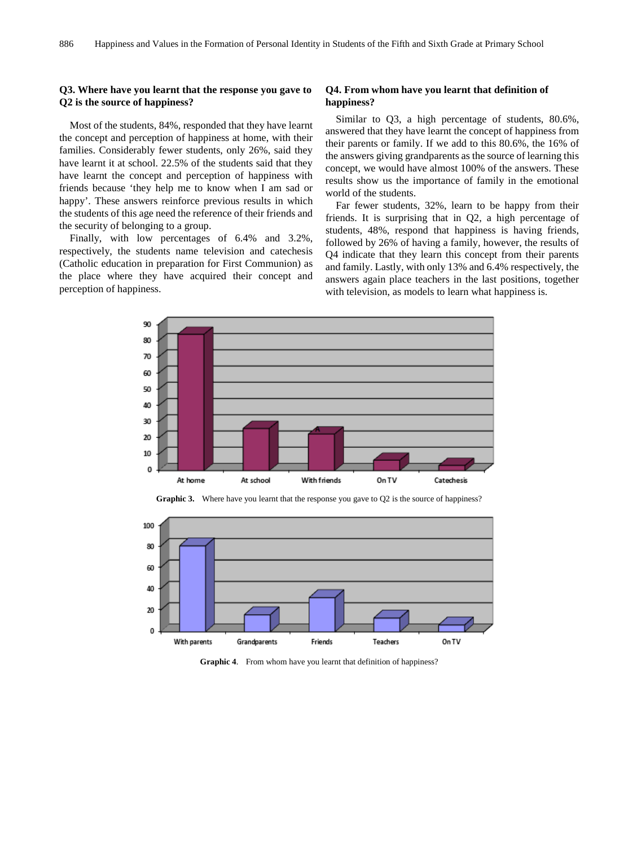#### **Q3. Where have you learnt that the response you gave to Q2 is the source of happiness?**

Most of the students, 84%, responded that they have learnt the concept and perception of happiness at home, with their families. Considerably fewer students, only 26%, said they have learnt it at school. 22.5% of the students said that they have learnt the concept and perception of happiness with friends because 'they help me to know when I am sad or happy'. These answers reinforce previous results in which the students of this age need the reference of their friends and the security of belonging to a group.

Finally, with low percentages of 6.4% and 3.2%, respectively, the students name television and catechesis (Catholic education in preparation for First Communion) as the place where they have acquired their concept and perception of happiness.

#### **Q4. From whom have you learnt that definition of happiness?**

Similar to Q3, a high percentage of students, 80.6%, answered that they have learnt the concept of happiness from their parents or family. If we add to this 80.6%, the 16% of the answers giving grandparents as the source of learning this concept, we would have almost 100% of the answers. These results show us the importance of family in the emotional world of the students.

Far fewer students, 32%, learn to be happy from their friends. It is surprising that in Q2, a high percentage of students, 48%, respond that happiness is having friends, followed by 26% of having a family, however, the results of Q4 indicate that they learn this concept from their parents and family. Lastly, with only 13% and 6.4% respectively, the answers again place teachers in the last positions, together with television, as models to learn what happiness is.



**Graphic 3.** Where have you learnt that the response you gave to Q2 is the source of happiness?



**Graphic 4**. From whom have you learnt that definition of happiness?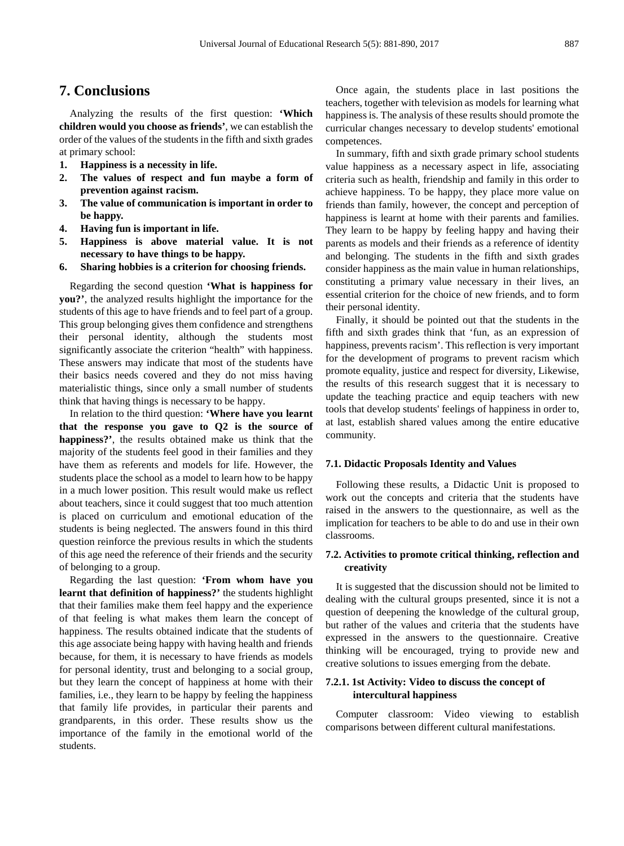## **7. Conclusions**

Analyzing the results of the first question: **'Which children would you choose as friends'**, we can establish the order of the values of the students in the fifth and sixth grades at primary school:

- **1. Happiness is a necessity in life.**
- **2. The values of respect and fun maybe a form of prevention against racism.**
- **3. The value of communication is important in order to be happy.**
- **4. Having fun is important in life.**
- **5. Happiness is above material value. It is not necessary to have things to be happy.**
- **6. Sharing hobbies is a criterion for choosing friends.**

Regarding the second question **'What is happiness for you?'**, the analyzed results highlight the importance for the students of this age to have friends and to feel part of a group. This group belonging gives them confidence and strengthens their personal identity, although the students most significantly associate the criterion "health" with happiness. These answers may indicate that most of the students have their basics needs covered and they do not miss having materialistic things, since only a small number of students think that having things is necessary to be happy.

In relation to the third question: **'Where have you learnt that the response you gave to Q2 is the source of happiness?'**, the results obtained make us think that the majority of the students feel good in their families and they have them as referents and models for life. However, the students place the school as a model to learn how to be happy in a much lower position. This result would make us reflect about teachers, since it could suggest that too much attention is placed on curriculum and emotional education of the students is being neglected. The answers found in this third question reinforce the previous results in which the students of this age need the reference of their friends and the security of belonging to a group.

Regarding the last question: **'From whom have you learnt that definition of happiness?'** the students highlight that their families make them feel happy and the experience of that feeling is what makes them learn the concept of happiness. The results obtained indicate that the students of this age associate being happy with having health and friends because, for them, it is necessary to have friends as models for personal identity, trust and belonging to a social group, but they learn the concept of happiness at home with their families, i.e., they learn to be happy by feeling the happiness that family life provides, in particular their parents and grandparents, in this order. These results show us the importance of the family in the emotional world of the students.

Once again, the students place in last positions the teachers, together with television as models for learning what happiness is. The analysis of these results should promote the curricular changes necessary to develop students' emotional competences.

In summary, fifth and sixth grade primary school students value happiness as a necessary aspect in life, associating criteria such as health, friendship and family in this order to achieve happiness. To be happy, they place more value on friends than family, however, the concept and perception of happiness is learnt at home with their parents and families. They learn to be happy by feeling happy and having their parents as models and their friends as a reference of identity and belonging. The students in the fifth and sixth grades consider happiness as the main value in human relationships, constituting a primary value necessary in their lives, an essential criterion for the choice of new friends, and to form their personal identity.

Finally, it should be pointed out that the students in the fifth and sixth grades think that 'fun, as an expression of happiness, prevents racism'. This reflection is very important for the development of programs to prevent racism which promote equality, justice and respect for diversity, Likewise, the results of this research suggest that it is necessary to update the teaching practice and equip teachers with new tools that develop students' feelings of happiness in order to, at last, establish shared values among the entire educative community.

#### **7.1. Didactic Proposals Identity and Values**

Following these results, a Didactic Unit is proposed to work out the concepts and criteria that the students have raised in the answers to the questionnaire, as well as the implication for teachers to be able to do and use in their own classrooms.

#### **7.2. Activities to promote critical thinking, reflection and creativity**

It is suggested that the discussion should not be limited to dealing with the cultural groups presented, since it is not a question of deepening the knowledge of the cultural group, but rather of the values and criteria that the students have expressed in the answers to the questionnaire. Creative thinking will be encouraged, trying to provide new and creative solutions to issues emerging from the debate.

#### **7.2.1. 1st Activity: Video to discuss the concept of intercultural happiness**

Computer classroom: Video viewing to establish comparisons between different cultural manifestations.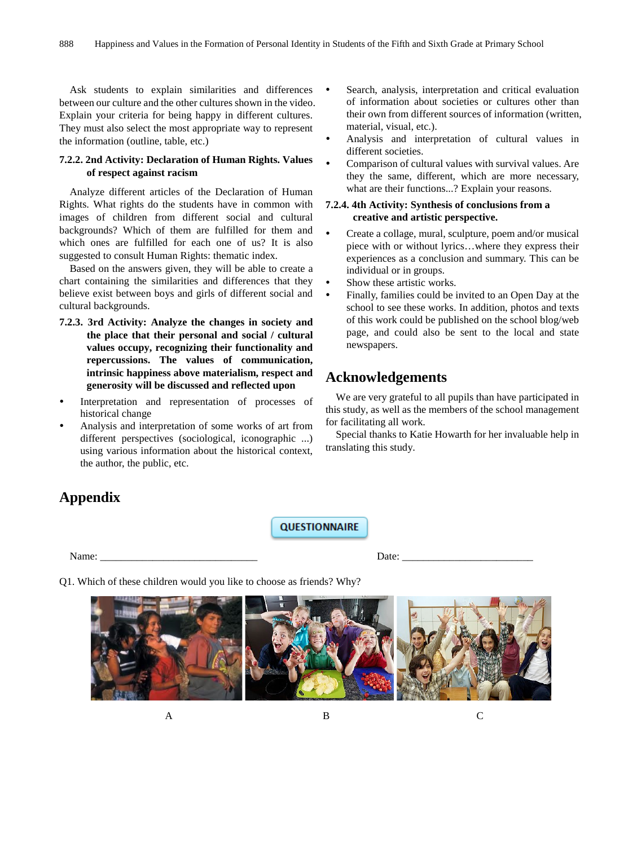Ask students to explain similarities and differences between our culture and the other cultures shown in the video. Explain your criteria for being happy in different cultures. They must also select the most appropriate way to represent the information (outline, table, etc.)

#### **7.2.2. 2nd Activity: Declaration of Human Rights. Values of respect against racism**

Analyze different articles of the Declaration of Human Rights. What rights do the students have in common with images of children from different social and cultural backgrounds? Which of them are fulfilled for them and which ones are fulfilled for each one of us? It is also suggested to consult Human Rights: thematic index.

Based on the answers given, they will be able to create a chart containing the similarities and differences that they believe exist between boys and girls of different social and cultural backgrounds.

- **7.2.3. 3rd Activity: Analyze the changes in society and the place that their personal and social / cultural values occupy, recognizing their functionality and repercussions. The values of communication, intrinsic happiness above materialism, respect and generosity will be discussed and reflected upon**
- Interpretation and representation of processes of historical change
- Analysis and interpretation of some works of art from different perspectives (sociological, iconographic ...) using various information about the historical context, the author, the public, etc.
- Search, analysis, interpretation and critical evaluation of information about societies or cultures other than their own from different sources of information (written, material, visual, etc.).
- Analysis and interpretation of cultural values in different societies.
- Comparison of cultural values with survival values. Are they the same, different, which are more necessary, what are their functions...? Explain your reasons.

#### **7.2.4. 4th Activity: Synthesis of conclusions from a creative and artistic perspective.**

- Create a collage, mural, sculpture, poem and/or musical piece with or without lyrics…where they express their experiences as a conclusion and summary. This can be individual or in groups.
- Show these artistic works.
- Finally, families could be invited to an Open Day at the school to see these works. In addition, photos and texts of this work could be published on the school blog/web page, and could also be sent to the local and state newspapers.

## **Acknowledgements**

We are very grateful to all pupils than have participated in this study, as well as the members of the school management for facilitating all work.

Special thanks to Katie Howarth for her invaluable help in translating this study.

# **Appendix**

**QUESTIONNAIRE** 

Name: \_\_\_\_\_\_\_\_\_\_\_\_\_\_\_\_\_\_\_\_\_\_\_\_\_\_\_\_\_\_ Date: \_\_\_\_\_\_\_\_\_\_\_\_\_\_\_\_\_\_\_\_\_\_\_\_\_

Q1. Which of these children would you like to choose as friends? Why?

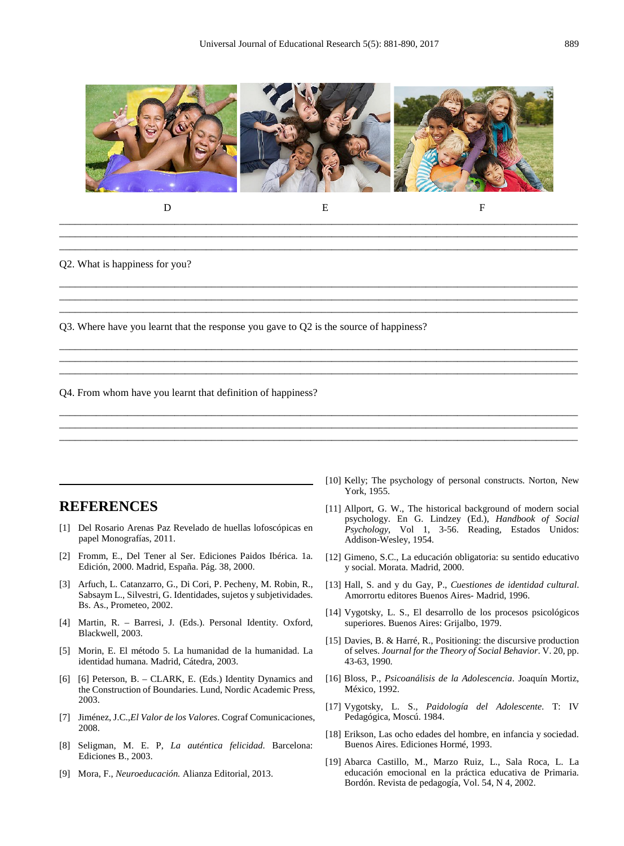

D E F

\_\_\_\_\_\_\_\_\_\_\_\_\_\_\_\_\_\_\_\_\_\_\_\_\_\_\_\_\_\_\_\_\_\_\_\_\_\_\_\_\_\_\_\_\_\_\_\_\_\_\_\_\_\_\_\_\_\_\_\_\_\_\_\_\_\_\_\_\_\_\_\_\_\_\_\_\_\_\_\_\_\_\_\_\_\_\_\_\_\_\_\_\_\_\_\_\_\_\_

\_\_\_\_\_\_\_\_\_\_\_\_\_\_\_\_\_\_\_\_\_\_\_\_\_\_\_\_\_\_\_\_\_\_\_\_\_\_\_\_\_\_\_\_\_\_\_\_\_\_\_\_\_\_\_\_\_\_\_\_\_\_\_\_\_\_\_\_\_\_\_\_\_\_\_\_\_\_\_\_\_\_\_\_\_\_\_\_\_\_\_\_\_\_\_\_\_\_\_ \_\_\_\_\_\_\_\_\_\_\_\_\_\_\_\_\_\_\_\_\_\_\_\_\_\_\_\_\_\_\_\_\_\_\_\_\_\_\_\_\_\_\_\_\_\_\_\_\_\_\_\_\_\_\_\_\_\_\_\_\_\_\_\_\_\_\_\_\_\_\_\_\_\_\_\_\_\_\_\_\_\_\_\_\_\_\_\_\_\_\_\_\_\_\_\_\_\_\_

\_\_\_\_\_\_\_\_\_\_\_\_\_\_\_\_\_\_\_\_\_\_\_\_\_\_\_\_\_\_\_\_\_\_\_\_\_\_\_\_\_\_\_\_\_\_\_\_\_\_\_\_\_\_\_\_\_\_\_\_\_\_\_\_\_\_\_\_\_\_\_\_\_\_\_\_\_\_\_\_\_\_\_\_\_\_\_\_\_\_\_\_\_\_\_\_\_\_\_ \_\_\_\_\_\_\_\_\_\_\_\_\_\_\_\_\_\_\_\_\_\_\_\_\_\_\_\_\_\_\_\_\_\_\_\_\_\_\_\_\_\_\_\_\_\_\_\_\_\_\_\_\_\_\_\_\_\_\_\_\_\_\_\_\_\_\_\_\_\_\_\_\_\_\_\_\_\_\_\_\_\_\_\_\_\_\_\_\_\_\_\_\_\_\_\_\_\_\_ \_\_\_\_\_\_\_\_\_\_\_\_\_\_\_\_\_\_\_\_\_\_\_\_\_\_\_\_\_\_\_\_\_\_\_\_\_\_\_\_\_\_\_\_\_\_\_\_\_\_\_\_\_\_\_\_\_\_\_\_\_\_\_\_\_\_\_\_\_\_\_\_\_\_\_\_\_\_\_\_\_\_\_\_\_\_\_\_\_\_\_\_\_\_\_\_\_\_\_

\_\_\_\_\_\_\_\_\_\_\_\_\_\_\_\_\_\_\_\_\_\_\_\_\_\_\_\_\_\_\_\_\_\_\_\_\_\_\_\_\_\_\_\_\_\_\_\_\_\_\_\_\_\_\_\_\_\_\_\_\_\_\_\_\_\_\_\_\_\_\_\_\_\_\_\_\_\_\_\_\_\_\_\_\_\_\_\_\_\_\_\_\_\_\_\_\_\_\_ \_\_\_\_\_\_\_\_\_\_\_\_\_\_\_\_\_\_\_\_\_\_\_\_\_\_\_\_\_\_\_\_\_\_\_\_\_\_\_\_\_\_\_\_\_\_\_\_\_\_\_\_\_\_\_\_\_\_\_\_\_\_\_\_\_\_\_\_\_\_\_\_\_\_\_\_\_\_\_\_\_\_\_\_\_\_\_\_\_\_\_\_\_\_\_\_\_\_\_ \_\_\_\_\_\_\_\_\_\_\_\_\_\_\_\_\_\_\_\_\_\_\_\_\_\_\_\_\_\_\_\_\_\_\_\_\_\_\_\_\_\_\_\_\_\_\_\_\_\_\_\_\_\_\_\_\_\_\_\_\_\_\_\_\_\_\_\_\_\_\_\_\_\_\_\_\_\_\_\_\_\_\_\_\_\_\_\_\_\_\_\_\_\_\_\_\_\_\_

\_\_\_\_\_\_\_\_\_\_\_\_\_\_\_\_\_\_\_\_\_\_\_\_\_\_\_\_\_\_\_\_\_\_\_\_\_\_\_\_\_\_\_\_\_\_\_\_\_\_\_\_\_\_\_\_\_\_\_\_\_\_\_\_\_\_\_\_\_\_\_\_\_\_\_\_\_\_\_\_\_\_\_\_\_\_\_\_\_\_\_\_\_\_\_\_\_\_\_ \_\_\_\_\_\_\_\_\_\_\_\_\_\_\_\_\_\_\_\_\_\_\_\_\_\_\_\_\_\_\_\_\_\_\_\_\_\_\_\_\_\_\_\_\_\_\_\_\_\_\_\_\_\_\_\_\_\_\_\_\_\_\_\_\_\_\_\_\_\_\_\_\_\_\_\_\_\_\_\_\_\_\_\_\_\_\_\_\_\_\_\_\_\_\_\_\_\_\_ \_\_\_\_\_\_\_\_\_\_\_\_\_\_\_\_\_\_\_\_\_\_\_\_\_\_\_\_\_\_\_\_\_\_\_\_\_\_\_\_\_\_\_\_\_\_\_\_\_\_\_\_\_\_\_\_\_\_\_\_\_\_\_\_\_\_\_\_\_\_\_\_\_\_\_\_\_\_\_\_\_\_\_\_\_\_\_\_\_\_\_\_\_\_\_\_\_\_\_

Q2. What is happiness for you?

Q3. Where have you learnt that the response you gave to Q2 is the source of happiness?

Q4. From whom have you learnt that definition of happiness?

## **REFERENCES**

- [1] Del Rosario Arenas Paz Revelado de huellas lofoscópicas en papel Monografías, 2011.
- [2] Fromm, E., Del Tener al Ser. Ediciones Paidos Ibérica. 1a. Edición, 2000. Madrid, España. Pág. 38, 2000.
- [3] Arfuch, L. Catanzarro, G., Di Cori, P. Pecheny, M. Robin, R., Sabsaym L., Silvestri, G. Identidades, sujetos y subjetividades. Bs. As., Prometeo, 2002.
- [4] Martin, R. Barresi, J. (Eds.). Personal Identity. Oxford, Blackwell, 2003.
- [5] Morin, E. El método 5. La humanidad de la humanidad. La identidad humana. Madrid, Cátedra, 2003.
- [6] [6] Peterson, B. CLARK, E. (Eds.) Identity Dynamics and the Construction of Boundaries. Lund, Nordic Academic Press, 2003.
- [7] Jiménez, J.C.,*El Valor de los Valores*. Cograf Comunicaciones, 2008.
- [8] Seligman, M. E. P, *La auténtica felicidad*. Barcelona: Ediciones B., 2003.
- [9] Mora, F., *Neuroeducación.* Alianza Editorial, 2013.
- [10] Kelly; The psychology of personal constructs. Norton, New York, 1955.
- [11] Allport, G. W., The historical background of modern social psychology. En G. Lindzey (Ed.), *Handbook of Social Psychology,* Vol 1, 3-56. Reading, Estados Unidos: Addison-Wesley, 1954.
- [12] Gimeno, S.C., La educación obligatoria: su sentido educativo y social. Morata. Madrid, 2000.
- [13] Hall, S. and y du Gay, P., *Cuestiones de identidad cultural*. Amorrortu editores Buenos Aires- Madrid, 1996.
- [14] Vygotsky, L. S., El desarrollo de los procesos psicológicos superiores. Buenos Aires: Grijalbo, 1979.
- [15] Davies, B. & Harré, R., Positioning: the discursive production of selves. *Journal for the Theory of Social Behavior*. V. 20, pp. 43-63, 1990.
- [16] Bloss, P., *Psicoanálisis de la Adolescencia*. Joaquín Mortiz, México, 1992.
- [17] Vygotsky, L. S., *Paidología del Adolescente*. T: IV Pedagógica, Moscú. 1984.
- [18] Erikson, Las ocho edades del hombre, en infancia y sociedad. Buenos Aires. Ediciones Hormé, 1993.
- [19] Abarca Castillo, M., Marzo Ruiz, L., Sala Roca, L. La educación emocional en la práctica educativa de Primaria. Bordón. Revista de pedagogía, Vol. 54, N 4, 2002.